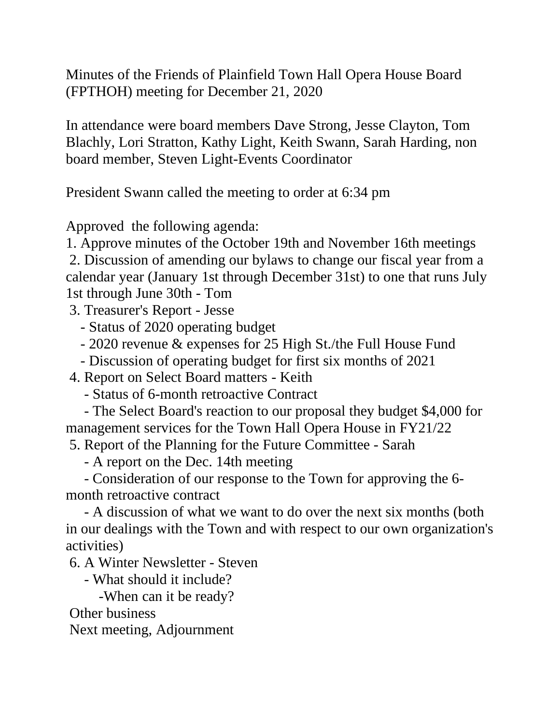Minutes of the Friends of Plainfield Town Hall Opera House Board (FPTHOH) meeting for December 21, 2020

In attendance were board members Dave Strong, Jesse Clayton, Tom Blachly, Lori Stratton, Kathy Light, Keith Swann, Sarah Harding, non board member, Steven Light-Events Coordinator

President Swann called the meeting to order at 6:34 pm

Approved the following agenda:

1. Approve minutes of the October 19th and November 16th meetings

2. Discussion of amending our bylaws to change our fiscal year from a calendar year (January 1st through December 31st) to one that runs July 1st through June 30th - Tom

3. Treasurer's Report - Jesse

- Status of 2020 operating budget

- 2020 revenue & expenses for 25 High St./the Full House Fund

- Discussion of operating budget for first six months of 2021

4. Report on Select Board matters - Keith

- Status of 6-month retroactive Contract

- The Select Board's reaction to our proposal they budget \$4,000 for management services for the Town Hall Opera House in FY21/22

5. Report of the Planning for the Future Committee - Sarah

- A report on the Dec. 14th meeting

- Consideration of our response to the Town for approving the 6 month retroactive contract

- A discussion of what we want to do over the next six months (both in our dealings with the Town and with respect to our own organization's activities)

6. A Winter Newsletter - Steven

- What should it include?

-When can it be ready?

Other business

Next meeting, Adjournment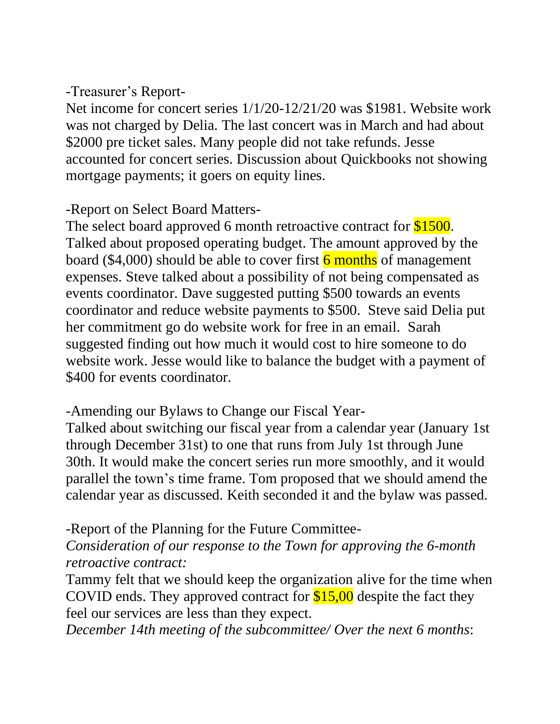## -Treasurer's Report-

Net income for concert series 1/1/20-12/21/20 was \$1981. Website work was not charged by Delia. The last concert was in March and had about \$2000 pre ticket sales. Many people did not take refunds. Jesse accounted for concert series. Discussion about Quickbooks not showing mortgage payments; it goers on equity lines.

## -Report on Select Board Matters-

The select board approved 6 month retroactive contract for \$1500. Talked about proposed operating budget. The amount approved by the board (\$4,000) should be able to cover first  $\frac{6}{6}$  months of management expenses. Steve talked about a possibility of not being compensated as events coordinator. Dave suggested putting \$500 towards an events coordinator and reduce website payments to \$500. Steve said Delia put her commitment go do website work for free in an email. Sarah suggested finding out how much it would cost to hire someone to do website work. Jesse would like to balance the budget with a payment of \$400 for events coordinator.

-Amending our Bylaws to Change our Fiscal Year-

Talked about switching our fiscal year from a calendar year (January 1st through December 31st) to one that runs from July 1st through June 30th. It would make the concert series run more smoothly, and it would parallel the town's time frame. Tom proposed that we should amend the calendar year as discussed. Keith seconded it and the bylaw was passed.

-Report of the Planning for the Future Committee-

*Consideration of our response to the Town for approving the 6-month retroactive contract:*

Tammy felt that we should keep the organization alive for the time when COVID ends. They approved contract for  $$15,00$  despite the fact they feel our services are less than they expect.

*December 14th meeting of the subcommittee/ Over the next 6 months*: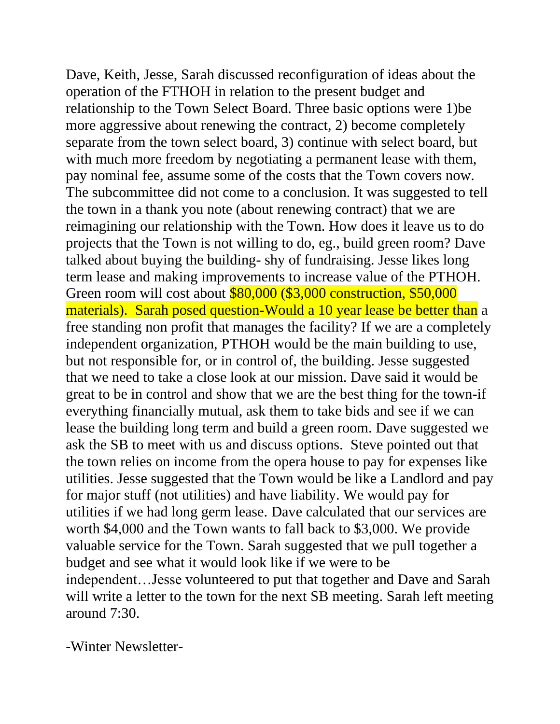Dave, Keith, Jesse, Sarah discussed reconfiguration of ideas about the operation of the FTHOH in relation to the present budget and relationship to the Town Select Board. Three basic options were 1)be more aggressive about renewing the contract, 2) become completely separate from the town select board, 3) continue with select board, but with much more freedom by negotiating a permanent lease with them, pay nominal fee, assume some of the costs that the Town covers now. The subcommittee did not come to a conclusion. It was suggested to tell the town in a thank you note (about renewing contract) that we are reimagining our relationship with the Town. How does it leave us to do projects that the Town is not willing to do, eg., build green room? Dave talked about buying the building- shy of fundraising. Jesse likes long term lease and making improvements to increase value of the PTHOH. Green room will cost about \$80,000 (\$3,000 construction, \$50,000 materials). Sarah posed question-Would a 10 year lease be better than a free standing non profit that manages the facility? If we are a completely independent organization, PTHOH would be the main building to use, but not responsible for, or in control of, the building. Jesse suggested that we need to take a close look at our mission. Dave said it would be great to be in control and show that we are the best thing for the town-if everything financially mutual, ask them to take bids and see if we can lease the building long term and build a green room. Dave suggested we ask the SB to meet with us and discuss options. Steve pointed out that the town relies on income from the opera house to pay for expenses like utilities. Jesse suggested that the Town would be like a Landlord and pay for major stuff (not utilities) and have liability. We would pay for utilities if we had long germ lease. Dave calculated that our services are worth \$4,000 and the Town wants to fall back to \$3,000. We provide valuable service for the Town. Sarah suggested that we pull together a budget and see what it would look like if we were to be independent…Jesse volunteered to put that together and Dave and Sarah will write a letter to the town for the next SB meeting. Sarah left meeting around 7:30.

-Winter Newsletter-